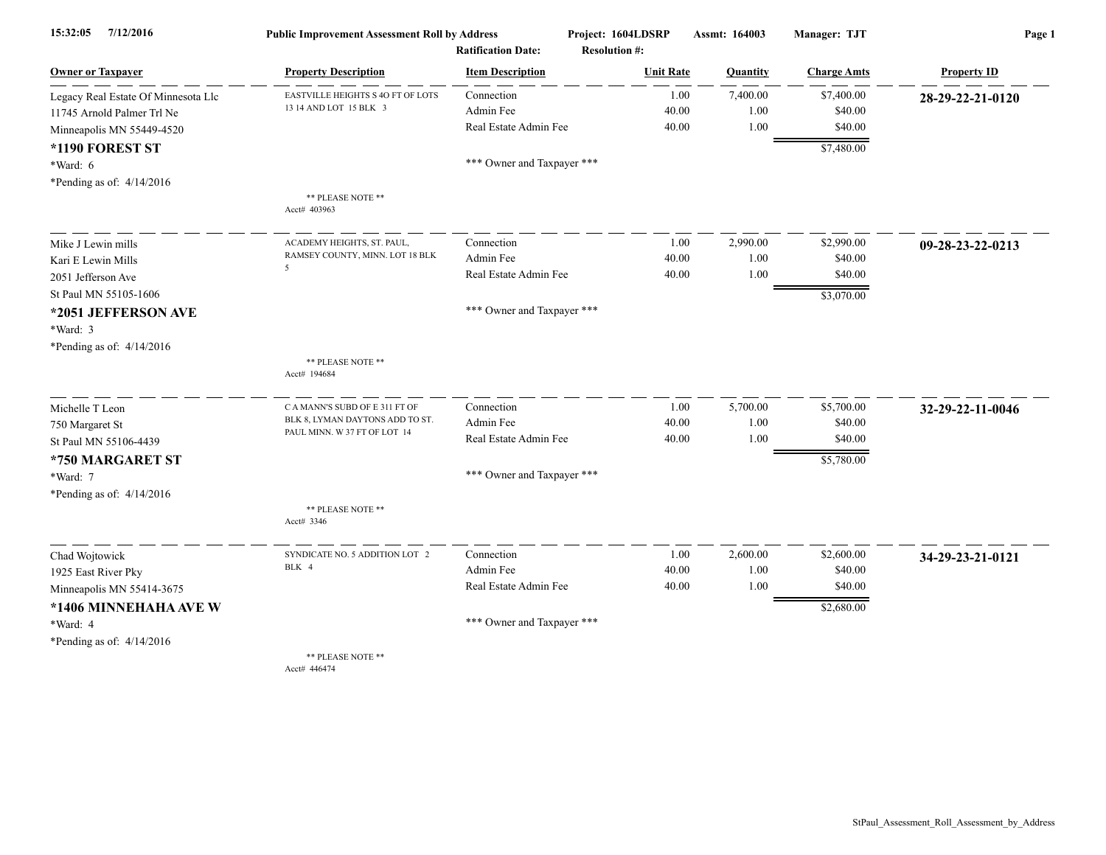| 15:32:05<br>7/12/2016               | <b>Public Improvement Assessment Roll by Address</b>            |                            | Project: 1604LDSRP   | Assmt: 164003 | Manager: TJT       | Page 1             |
|-------------------------------------|-----------------------------------------------------------------|----------------------------|----------------------|---------------|--------------------|--------------------|
|                                     |                                                                 | <b>Ratification Date:</b>  | <b>Resolution #:</b> |               |                    |                    |
| <b>Owner or Taxpayer</b>            | <b>Property Description</b>                                     | <b>Item Description</b>    | <b>Unit Rate</b>     | Quantity      | <b>Charge Amts</b> | <b>Property ID</b> |
| Legacy Real Estate Of Minnesota Llc | EASTVILLE HEIGHTS S 4O FT OF LOTS                               | Connection                 | 1.00                 | 7,400.00      | \$7,400.00         | 28-29-22-21-0120   |
| 11745 Arnold Palmer Trl Ne          | 13 14 AND LOT 15 BLK 3                                          | Admin Fee                  | 40.00                | 1.00          | \$40.00            |                    |
| Minneapolis MN 55449-4520           |                                                                 | Real Estate Admin Fee      | 40.00                | 1.00          | \$40.00            |                    |
| *1190 FOREST ST                     |                                                                 |                            |                      |               | \$7,480.00         |                    |
| *Ward: 6                            |                                                                 | *** Owner and Taxpayer *** |                      |               |                    |                    |
| *Pending as of: 4/14/2016           |                                                                 |                            |                      |               |                    |                    |
|                                     | ** PLEASE NOTE **<br>Acct# 403963                               |                            |                      |               |                    |                    |
| Mike J Lewin mills                  | ACADEMY HEIGHTS, ST. PAUL.                                      | Connection                 | 1.00                 | 2,990.00      | \$2,990.00         | 09-28-23-22-0213   |
| Kari E Lewin Mills                  | RAMSEY COUNTY, MINN. LOT 18 BLK<br>5                            | Admin Fee                  | 40.00                | 1.00          | \$40.00            |                    |
| 2051 Jefferson Ave                  |                                                                 | Real Estate Admin Fee      | 40.00                | 1.00          | \$40.00            |                    |
| St Paul MN 55105-1606               |                                                                 |                            |                      |               | \$3,070.00         |                    |
| *2051 JEFFERSON AVE                 |                                                                 | *** Owner and Taxpayer *** |                      |               |                    |                    |
| *Ward: 3                            |                                                                 |                            |                      |               |                    |                    |
| *Pending as of: $4/14/2016$         |                                                                 |                            |                      |               |                    |                    |
|                                     | ** PLEASE NOTE **<br>Acct# 194684                               |                            |                      |               |                    |                    |
| Michelle T Leon                     | C A MANN'S SUBD OF E 311 FT OF                                  | Connection                 | 1.00                 | 5,700.00      | \$5,700.00         | 32-29-22-11-0046   |
| 750 Margaret St                     | BLK 8, LYMAN DAYTONS ADD TO ST.<br>PAUL MINN. W 37 FT OF LOT 14 | Admin Fee                  | 40.00                | 1.00          | \$40.00            |                    |
| St Paul MN 55106-4439               |                                                                 | Real Estate Admin Fee      | 40.00                | 1.00          | \$40.00            |                    |
| *750 MARGARET ST                    |                                                                 |                            |                      |               | \$5,780.00         |                    |
| *Ward: 7                            |                                                                 | *** Owner and Taxpayer *** |                      |               |                    |                    |
| *Pending as of: $4/14/2016$         |                                                                 |                            |                      |               |                    |                    |
|                                     | ** PLEASE NOTE **<br>Acct# 3346                                 |                            |                      |               |                    |                    |
| Chad Wojtowick                      | SYNDICATE NO. 5 ADDITION LOT 2                                  | Connection                 | 1.00                 | 2,600.00      | \$2,600.00         | 34-29-23-21-0121   |
| 1925 East River Pky                 | BLK 4                                                           | Admin Fee                  | 40.00                | 1.00          | \$40.00            |                    |
| Minneapolis MN 55414-3675           |                                                                 | Real Estate Admin Fee      | 40.00                | 1.00          | \$40.00            |                    |
| *1406 MINNEHAHA AVE W               |                                                                 |                            |                      |               | \$2,680.00         |                    |
| *Ward: 4                            |                                                                 | *** Owner and Taxpayer *** |                      |               |                    |                    |
| *Pending as of: 4/14/2016           |                                                                 |                            |                      |               |                    |                    |
|                                     | ** PLEASE NOTE **<br>Acct# 446474                               |                            |                      |               |                    |                    |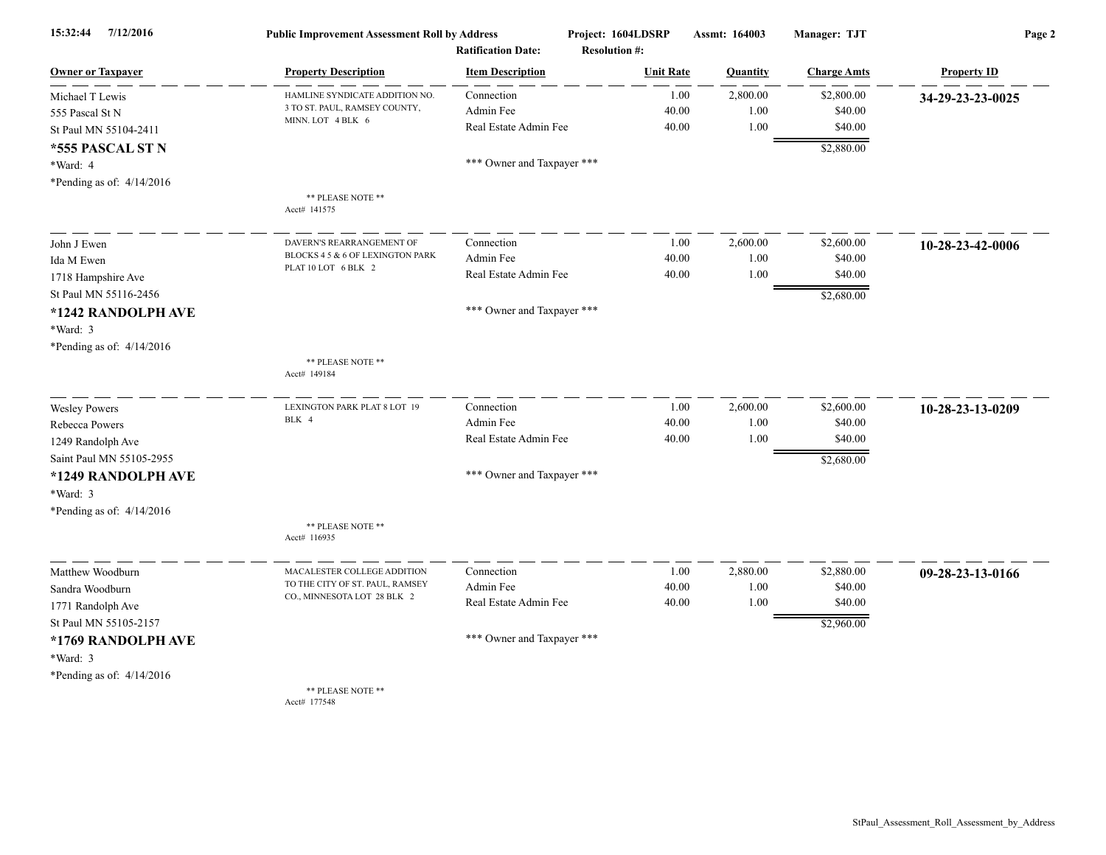| 15:32:44<br>7/12/2016       | <b>Public Improvement Assessment Roll by Address</b><br><b>Ratification Date:</b>             |                            | Project: 1604LDSRP<br><b>Resolution #:</b> | Assmt: 164003 | Manager: TJT       | Page 2             |
|-----------------------------|-----------------------------------------------------------------------------------------------|----------------------------|--------------------------------------------|---------------|--------------------|--------------------|
| <b>Owner or Taxpayer</b>    | <b>Property Description</b>                                                                   | <b>Item Description</b>    | <b>Unit Rate</b>                           | Quantity      | <b>Charge Amts</b> | <b>Property ID</b> |
| Michael T Lewis             | HAMLINE SYNDICATE ADDITION NO.                                                                | Connection                 | 1.00                                       | 2,800.00      | \$2,800.00         | 34-29-23-23-0025   |
| 555 Pascal St N             | 3 TO ST. PAUL, RAMSEY COUNTY,                                                                 | Admin Fee                  | 40.00                                      | 1.00          | \$40.00            |                    |
| St Paul MN 55104-2411       | MINN. LOT 4 BLK 6                                                                             | Real Estate Admin Fee      | 40.00                                      | 1.00          | \$40.00            |                    |
| *555 PASCAL ST N            |                                                                                               |                            |                                            |               | \$2,880.00         |                    |
| *Ward: 4                    |                                                                                               | *** Owner and Taxpayer *** |                                            |               |                    |                    |
| *Pending as of: $4/14/2016$ |                                                                                               |                            |                                            |               |                    |                    |
|                             | ** PLEASE NOTE **<br>Acct# 141575                                                             |                            |                                            |               |                    |                    |
| John J Ewen                 | DAVERN'S REARRANGEMENT OF                                                                     | Connection                 | 1.00                                       | 2,600.00      | \$2,600.00         | 10-28-23-42-0006   |
| Ida M Ewen                  | BLOCKS 4 5 & 6 OF LEXINGTON PARK                                                              | Admin Fee                  | 40.00                                      | 1.00          | \$40.00            |                    |
| 1718 Hampshire Ave          | PLAT 10 LOT 6 BLK 2                                                                           | Real Estate Admin Fee      | 40.00                                      | 1.00          | \$40.00            |                    |
| St Paul MN 55116-2456       |                                                                                               |                            |                                            |               | \$2,680.00         |                    |
| *1242 RANDOLPH AVE          |                                                                                               | *** Owner and Taxpayer *** |                                            |               |                    |                    |
| *Ward: 3                    |                                                                                               |                            |                                            |               |                    |                    |
| *Pending as of: 4/14/2016   |                                                                                               |                            |                                            |               |                    |                    |
|                             | ** PLEASE NOTE **<br>Acct# 149184                                                             |                            |                                            |               |                    |                    |
| <b>Wesley Powers</b>        | LEXINGTON PARK PLAT 8 LOT 19                                                                  | Connection                 | 1.00                                       | 2,600.00      | \$2,600.00         | 10-28-23-13-0209   |
| Rebecca Powers              | BLK 4                                                                                         | Admin Fee                  | 40.00                                      | 1.00          | \$40.00            |                    |
| 1249 Randolph Ave           |                                                                                               | Real Estate Admin Fee      | 40.00                                      | 1.00          | \$40.00            |                    |
| Saint Paul MN 55105-2955    |                                                                                               |                            |                                            |               | \$2,680.00         |                    |
| *1249 RANDOLPH AVE          |                                                                                               | *** Owner and Taxpayer *** |                                            |               |                    |                    |
| *Ward: 3                    |                                                                                               |                            |                                            |               |                    |                    |
| *Pending as of: 4/14/2016   |                                                                                               |                            |                                            |               |                    |                    |
|                             | ** PLEASE NOTE **<br>Acct# 116935                                                             |                            |                                            |               |                    |                    |
| Matthew Woodburn            | MACALESTER COLLEGE ADDITION<br>TO THE CITY OF ST. PAUL, RAMSEY<br>CO., MINNESOTA LOT 28 BLK 2 | Connection                 | 1.00                                       | 2,880.00      | \$2,880.00         | 09-28-23-13-0166   |
| Sandra Woodburn             |                                                                                               | Admin Fee                  | 40.00                                      | 1.00          | \$40.00            |                    |
| 1771 Randolph Ave           |                                                                                               | Real Estate Admin Fee      | 40.00                                      | 1.00          | \$40.00            |                    |
| St Paul MN 55105-2157       |                                                                                               |                            |                                            |               | \$2,960.00         |                    |
| *1769 RANDOLPH AVE          |                                                                                               | *** Owner and Taxpayer *** |                                            |               |                    |                    |
| *Ward: 3                    |                                                                                               |                            |                                            |               |                    |                    |
| *Pending as of: $4/14/2016$ |                                                                                               |                            |                                            |               |                    |                    |
|                             | ** PLEASE NOTE **<br>$A_{\text{out}} = 177540$                                                |                            |                                            |               |                    |                    |

Acct# 177548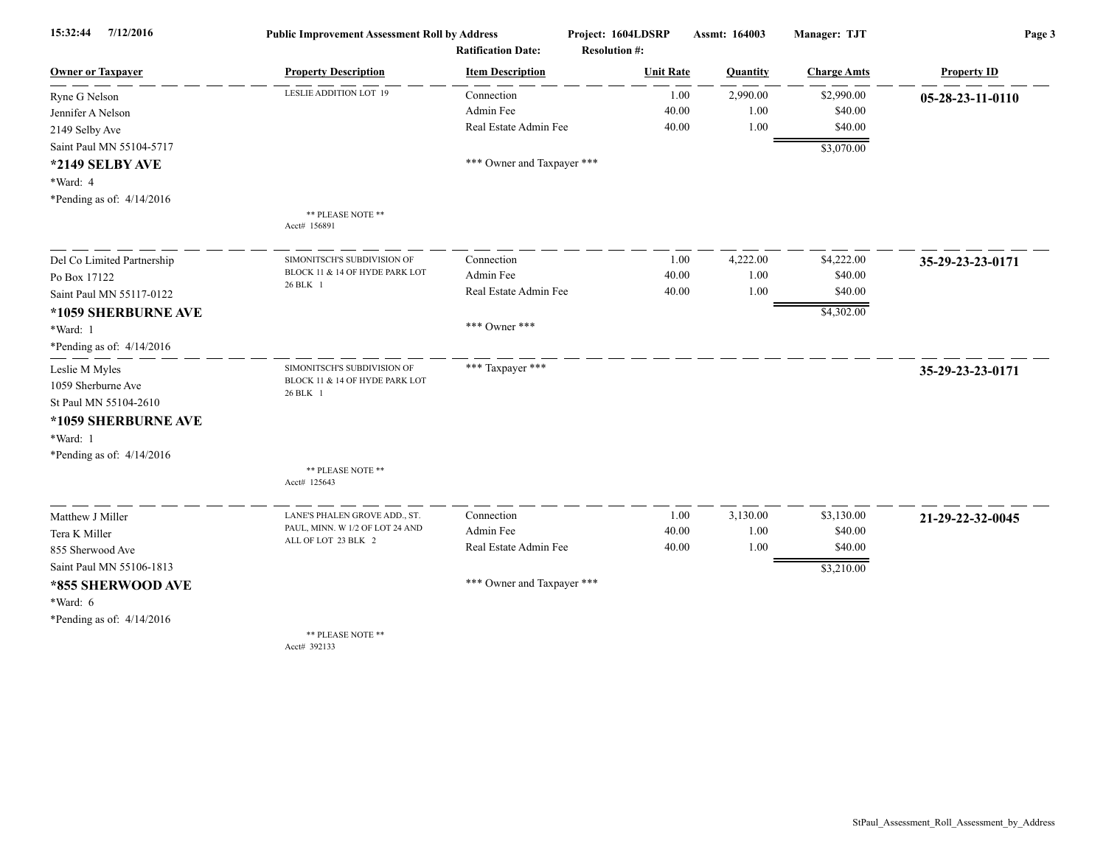| 15:32:44<br>7/12/2016       | <b>Public Improvement Assessment Roll by Address</b> |                            | Project: 1604LDSRP   | Assmt: 164003 | <b>Manager: TJT</b> | Page 3             |
|-----------------------------|------------------------------------------------------|----------------------------|----------------------|---------------|---------------------|--------------------|
|                             |                                                      | <b>Ratification Date:</b>  | <b>Resolution #:</b> |               |                     |                    |
| <b>Owner or Taxpayer</b>    | <b>Property Description</b>                          | <b>Item Description</b>    | <b>Unit Rate</b>     | Quantity      | <b>Charge Amts</b>  | <b>Property ID</b> |
| Ryne G Nelson               | LESLIE ADDITION LOT 19                               | Connection                 | 1.00                 | 2,990.00      | \$2,990.00          | 05-28-23-11-0110   |
| Jennifer A Nelson           |                                                      | Admin Fee                  | 40.00                | 1.00          | \$40.00             |                    |
| 2149 Selby Ave              |                                                      | Real Estate Admin Fee      | 40.00                | 1.00          | \$40.00             |                    |
| Saint Paul MN 55104-5717    |                                                      |                            |                      |               | \$3,070.00          |                    |
| *2149 SELBY AVE             |                                                      | *** Owner and Taxpayer *** |                      |               |                     |                    |
| *Ward: 4                    |                                                      |                            |                      |               |                     |                    |
| *Pending as of: $4/14/2016$ |                                                      |                            |                      |               |                     |                    |
|                             | ** PLEASE NOTE **<br>Acct# 156891                    |                            |                      |               |                     |                    |
| Del Co Limited Partnership  | SIMONITSCH'S SUBDIVISION OF                          | Connection                 | 1.00                 | 4,222.00      | \$4,222.00          | 35-29-23-23-0171   |
| Po Box 17122                | BLOCK 11 & 14 OF HYDE PARK LOT                       | Admin Fee                  | 40.00                | 1.00          | \$40.00             |                    |
| Saint Paul MN 55117-0122    | 26 BLK 1                                             | Real Estate Admin Fee      | 40.00                | 1.00          | \$40.00             |                    |
| *1059 SHERBURNE AVE         |                                                      |                            |                      |               | \$4,302.00          |                    |
| *Ward: 1                    |                                                      | *** Owner ***              |                      |               |                     |                    |
| *Pending as of: $4/14/2016$ |                                                      |                            |                      |               |                     |                    |
| Leslie M Myles              | SIMONITSCH'S SUBDIVISION OF                          | *** Taxpayer ***           |                      |               |                     | 35-29-23-23-0171   |
| 1059 Sherburne Ave          | BLOCK 11 & 14 OF HYDE PARK LOT<br>26 BLK 1           |                            |                      |               |                     |                    |
| St Paul MN 55104-2610       |                                                      |                            |                      |               |                     |                    |
| *1059 SHERBURNE AVE         |                                                      |                            |                      |               |                     |                    |
| *Ward: 1                    |                                                      |                            |                      |               |                     |                    |
| *Pending as of: $4/14/2016$ |                                                      |                            |                      |               |                     |                    |
|                             | ** PLEASE NOTE **<br>Acct# 125643                    |                            |                      |               |                     |                    |
| Matthew J Miller            | LANE'S PHALEN GROVE ADD., ST.                        | Connection                 | 1.00                 | 3,130.00      | \$3,130.00          | 21-29-22-32-0045   |
| Tera K Miller               | PAUL, MINN. W 1/2 OF LOT 24 AND                      | Admin Fee                  | 40.00                | 1.00          | \$40.00             |                    |
| 855 Sherwood Ave            | ALL OF LOT 23 BLK 2                                  | Real Estate Admin Fee      | 40.00                | 1.00          | \$40.00             |                    |
| Saint Paul MN 55106-1813    |                                                      |                            |                      |               | \$3,210.00          |                    |
| *855 SHERWOOD AVE           |                                                      | *** Owner and Taxpayer *** |                      |               |                     |                    |
| $*Ward: 6$                  |                                                      |                            |                      |               |                     |                    |
| *Pending as of: $4/14/2016$ |                                                      |                            |                      |               |                     |                    |
|                             | ** PLEASE NOTE **<br>Acct# 392133                    |                            |                      |               |                     |                    |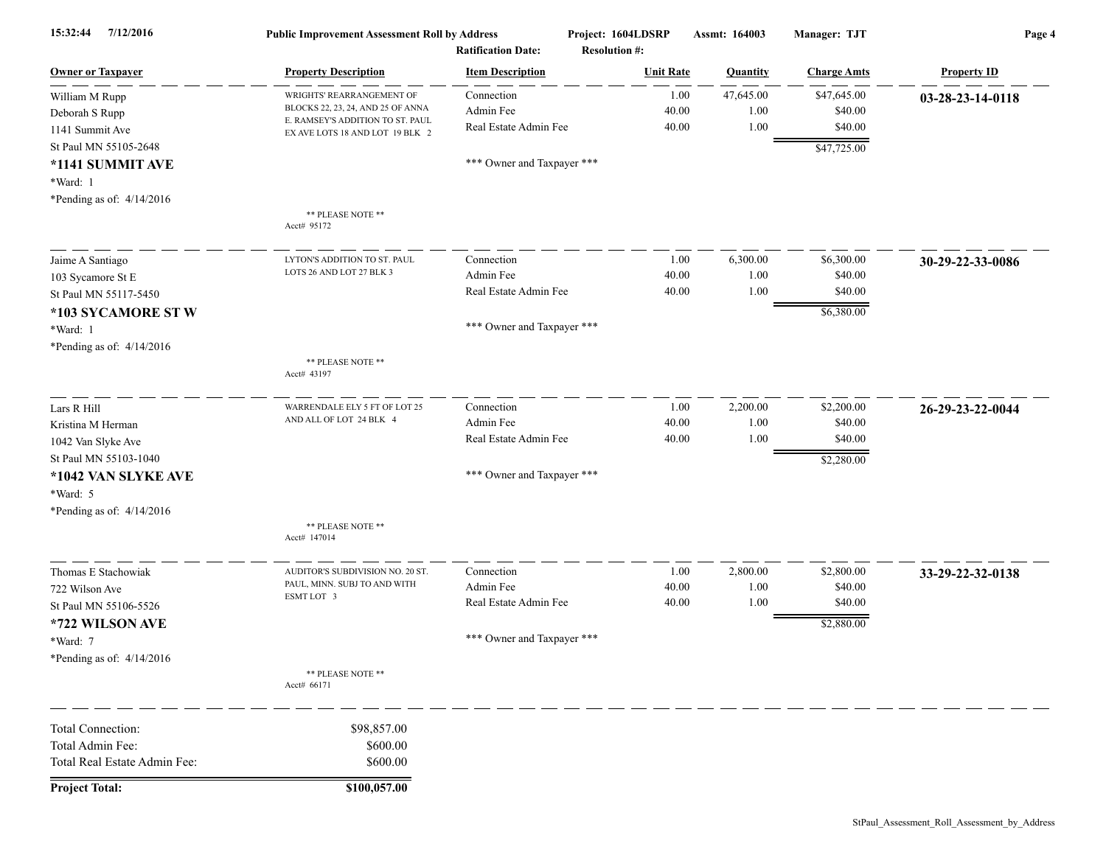| 7/12/2016<br>15:32:44        | <b>Public Improvement Assessment Roll by Address</b>                | <b>Ratification Date:</b>  | Project: 1604LDSRP<br><b>Resolution #:</b> | Assmt: 164003 | Manager: TJT       | Page 4             |
|------------------------------|---------------------------------------------------------------------|----------------------------|--------------------------------------------|---------------|--------------------|--------------------|
| <b>Owner or Taxpayer</b>     | <b>Property Description</b>                                         | <b>Item Description</b>    | <b>Unit Rate</b>                           | Quantity      | <b>Charge Amts</b> | <b>Property ID</b> |
| William M Rupp               | WRIGHTS' REARRANGEMENT OF                                           | Connection                 | 1.00                                       | 47,645.00     | \$47,645.00        | 03-28-23-14-0118   |
| Deborah S Rupp               | BLOCKS 22, 23, 24, AND 25 OF ANNA                                   | Admin Fee                  | 40.00                                      | 1.00          | \$40.00            |                    |
| 1141 Summit Ave              | E. RAMSEY'S ADDITION TO ST. PAUL<br>EX AVE LOTS 18 AND LOT 19 BLK 2 | Real Estate Admin Fee      | 40.00                                      | 1.00          | \$40.00            |                    |
| St Paul MN 55105-2648        |                                                                     |                            |                                            |               | \$47,725.00        |                    |
| *1141 SUMMIT AVE             |                                                                     | *** Owner and Taxpayer *** |                                            |               |                    |                    |
| *Ward: 1                     |                                                                     |                            |                                            |               |                    |                    |
| *Pending as of: $4/14/2016$  |                                                                     |                            |                                            |               |                    |                    |
|                              | ** PLEASE NOTE **<br>Acct# 95172                                    |                            |                                            |               |                    |                    |
| Jaime A Santiago             | LYTON'S ADDITION TO ST. PAUL                                        | Connection                 | 1.00                                       | 6,300.00      | \$6,300.00         | 30-29-22-33-0086   |
| 103 Sycamore St E            | LOTS 26 AND LOT 27 BLK 3                                            | Admin Fee                  | 40.00                                      | 1.00          | \$40.00            |                    |
| St Paul MN 55117-5450        |                                                                     | Real Estate Admin Fee      | 40.00                                      | 1.00          | \$40.00            |                    |
| *103 SYCAMORE STW            |                                                                     |                            |                                            |               | \$6,380.00         |                    |
| *Ward: 1                     |                                                                     | *** Owner and Taxpayer *** |                                            |               |                    |                    |
| *Pending as of: $4/14/2016$  |                                                                     |                            |                                            |               |                    |                    |
|                              | ** PLEASE NOTE **<br>Acct# 43197                                    |                            |                                            |               |                    |                    |
| Lars R Hill                  | WARRENDALE ELY 5 FT OF LOT 25                                       | Connection                 | 1.00                                       | 2,200.00      | \$2,200.00         | 26-29-23-22-0044   |
| Kristina M Herman            | AND ALL OF LOT 24 BLK 4                                             | Admin Fee                  | 40.00                                      | 1.00          | \$40.00            |                    |
| 1042 Van Slyke Ave           |                                                                     | Real Estate Admin Fee      | 40.00                                      | 1.00          | \$40.00            |                    |
| St Paul MN 55103-1040        |                                                                     |                            |                                            |               | \$2,280.00         |                    |
| *1042 VAN SLYKE AVE          |                                                                     | *** Owner and Taxpayer *** |                                            |               |                    |                    |
| *Ward: 5                     |                                                                     |                            |                                            |               |                    |                    |
| *Pending as of: $4/14/2016$  |                                                                     |                            |                                            |               |                    |                    |
|                              | ** PLEASE NOTE **<br>Acct# 147014                                   |                            |                                            |               |                    |                    |
| Thomas E Stachowiak          | AUDITOR'S SUBDIVISION NO. 20 ST.                                    | Connection                 | 1.00                                       | 2,800.00      | \$2,800.00         | 33-29-22-32-0138   |
| 722 Wilson Ave               | PAUL, MINN. SUBJ TO AND WITH<br>ESMT LOT 3                          | Admin Fee                  | 40.00                                      | 1.00          | \$40.00            |                    |
| St Paul MN 55106-5526        |                                                                     | Real Estate Admin Fee      | 40.00                                      | 1.00          | \$40.00            |                    |
| *722 WILSON AVE              |                                                                     |                            |                                            |               | \$2,880.00         |                    |
| *Ward: 7                     |                                                                     | *** Owner and Taxpayer *** |                                            |               |                    |                    |
| *Pending as of: $4/14/2016$  |                                                                     |                            |                                            |               |                    |                    |
|                              | ** PLEASE NOTE **<br>Acct# 66171                                    |                            |                                            |               |                    |                    |
| Total Connection:            | \$98,857.00                                                         |                            |                                            |               |                    |                    |
| Total Admin Fee:             | \$600.00                                                            |                            |                                            |               |                    |                    |
| Total Real Estate Admin Fee: | \$600.00                                                            |                            |                                            |               |                    |                    |
| <b>Project Total:</b>        | \$100,057.00                                                        |                            |                                            |               |                    |                    |